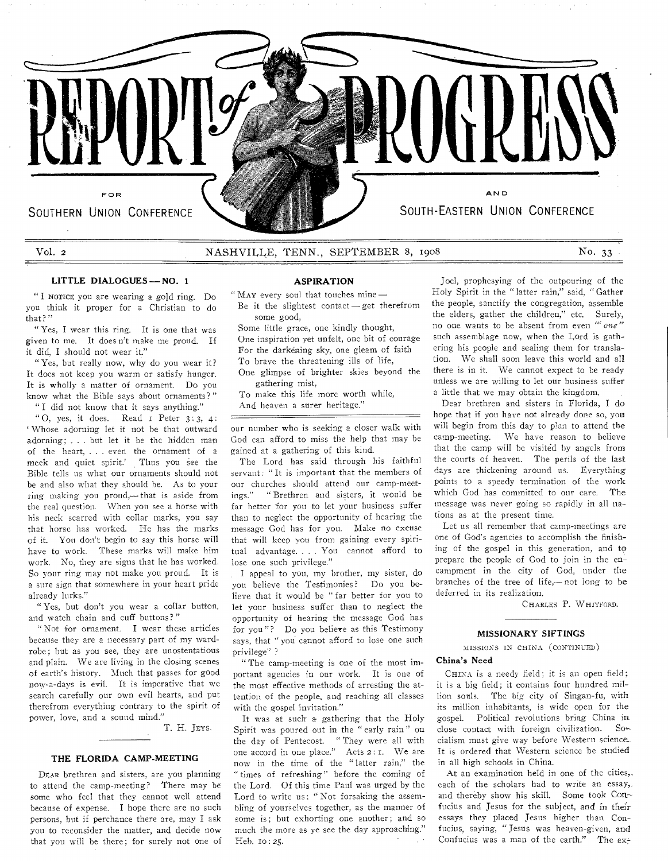

## Vol. 2 NASHVILLE, TENN., SEPTEMBER 8, 1908 No. 33

#### LITTLE DIALOGUES - NO. 1

"I NOTICE you are wearing a gold ring. Do you think it proper for a Christian to do that?"

" Yes, I wear this ring. It is one that was given to me. It does n't make me proud. If it did, I should not wear it."

" Yes, but really now, why do you wear it? It does not keep you warm or satisfy hunger. It is wholly a matter of ornament. Do you know what the Bible says about ornaments?" " I did not know that it says anything."

" 0, yes, it does. Read I Peter 3: 3, 4: ' Whose adorning let it not he that outward adorning; . . . but let it be the hidden man of the heart, . . . even the ornament of a meek and quiet spirit.' Thus you see the Bible tells us what our ornaments should not be and also what they should he. As to your ring making you proud,— that is aside from the real question. When you see a horse with his neck scarred with collar marks, you say that horse has worked. He has the marks of it. You don't begin to say this horse will have to work. These marks will make him work. No, they are signs that he has worked. So your ring may not make you proud. It is a sure sign that somewhere in your heart pride already lurks."

" Yes, but don't you wear a collar button, and watch chain and cuff buttons?"

" Not for ornament. I wear these articles because they are a necessary part of my wardrobe; but as you see, they are unostentatious and plain. We are living in the closing scenes of earth's history. Much that passes for good now-a-days is evil. It is imperative that we search carefully our own evil hearts, and put therefrom everything contrary to the spirit of power, love, and a sound mind."

T. H. JEYS.

## THE FLORIDA CAMP-MEETING

DEAR brethren and sisters, are you planning to attend the camp-meeting? There may be some who feel that they cannot well attend because of expense. I hope there are no such persons, but if perchance there are, may I ask you to reconsider the matter, and decide now that you will be there; for surely not one of

## ASPIRATION

" MAY every soul that touches mine — Be it the slightest contact — get therefrom some good,

Some little grace, one kindly thought, One inspiration yet unfelt, one bit of courage For the darkening sky, one gleam of faith To brave the threatening ills of life,

One glimpse of brighter skies beyond the gathering mist,

To make this life more worth while, And heaven a surer heritage."

our number who is seeking a closer walk with God can afford to miss the help that may be gained at a gathering of this kind.

The Lord has said through his faithful servant: "It is important that the members of our churches should attend our camp-meetings." " Brethren and sisters, it would be far better for you to let your business suffer than to neglect the opportunity of hearing the message God has for you. Make no excuse that will keep you from gaining every spiritual advantage. . . You cannot afford to lose one such privilege."

I appeal to you, my brother, my sister, do you believe the Testimonies? Do you believe that it would be " far better for you to let your business suffer than to neglect the opportunity of hearing the message God has for you "? Do you believe as this Testimony says, that " you cannot afford to lose one such privilege" ?

" The camp-meeting is one of the most important agencies in our work. It is one of the most effective methods of arresting the attention of the people, and reaching all classes with the gospel invitation."

It was at such a gathering that the Holy Spirit was poured out in the " early rain" on the day of Pentecost. "They were all with one accord in one place." Acts 2: I. We are now in the time of the " latter rain," the " times of refreshing" before the coming of the Lord. Of this time Paul was urged by the Lord to write us: " Not forsaking the assembling of yourselves together, as the manner of some is; but exhorting one another; and so much the more as ye see the day approaching." Heb. to: *25.* 

Joel, prophesying of the outpouring of the Holy Spirit in the " latter rain," said, " Gather the people, sanctify the congregation, assemble the elders, gather the children," etc. Surely, no one wants to be absent from even " one" such assemblage now, when the Lord is gathering his people and sealing them for translation. We shall soon leave this world and all there is in it. We cannot expect to be ready unless we are willing to let our business suffer a little that we may obtain the kingdom.

Dear brethren and sisters in Florida, I do hope that if you have not already done so, you will begin from this day to plan to attend the camp-meeting. We have reason to believe that the camp will be visited by angels from the courts of heaven. The perils of the last days are thickening around us. Everything points to a speedy termination of the work which God has committed to our care. The message was never going so rapidly in all nations as at the present time.

Let us all remember that camp-meetings are one of God's agencies to accomplish the finishing of the gospel in this generation, and to prepare the people of God to join in the encampment in the city of God, under the branches of the tree of life,—not long to be deferred in its realization.

CHARLES P. WHITFORD.

#### MISSIONARY SIFTINGS

MISSIONS IN CHINA (CONTINUED)

### China's Need

CHINA is a needy field; it is an open field; it is a big field; it contains four hundred million souls. The big city of Singan-fu, with its million inhabitants, is wide open for the gospel. Political revolutions bring China inclose contact with foreign civilization. So cialism must give way before Western science.\_ It is ordered that Western science be studied in all high schools in China.

At an examination held in one of the cities,... each of the scholars had to write an essay,. and thereby show his skill. Some took Con fucius and Jesus for the subject, and in their essays they placed Jesus higher than Confucius, saying, " Jesus was heaven-given, and Confucius was a man of the earth." The  $ex_{\tau}$ -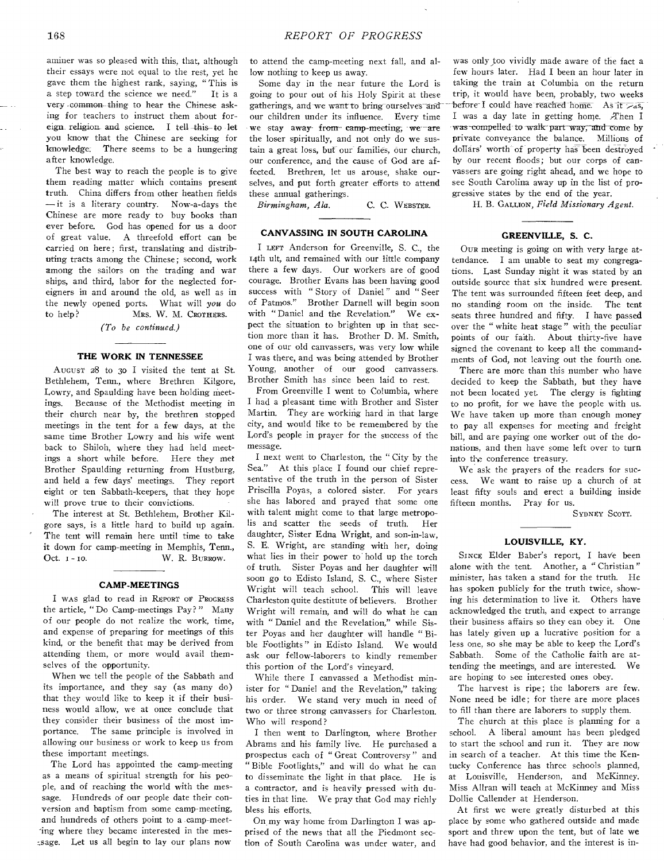aminer was so pleased with this, that, although their essays were not equal to the rest, yet he gave them the highest rank, saying, " This is a step toward the science we need." It is a very -common- thing to hear the Chinese asking for teachers to instruct them about foreign religion and science. I tell this to let you know that the Chinese are seeking for knowledge. There seems to be a hungering after knowledge.

The best way to reach the people is to give them reading matter which contains present truth. China differs from other heathen fields — it is a literary country. Now-a-days the Chinese are more ready to buy books than ever before. God has opened for us a door of great value. A threefold effort can be carried on here; first, translating and distributing tracts among the Chinese; second, work among the sailors on the trading and war ships, and third, labor for the neglected foreigners in and around the old, as well as in the newly opened ports. What will *you* do Mrs. W. M. CROTHERS.

*(To be continued.)* 

#### **THE WORK IN TENNESSEE**

AUGUST 28 to 30 I visited the tent at St. Bethlehem, Tenn., where Brethren Kilgore, Lowry, and Spaulding have been holding meetings. Because of the Methodist meeting in their church near by, the brethren stopped meetings in the tent for a few days, at the same time Brother Lowry and his wife went back to Shiloh, where they had held meetings a short while before. Here they met Brother Spaulding returning from Hustburg, and held a few days' meetings. They report eight or ten Sabbath-keepers, that they hope will prove true to their convictions.

The interest at St. Bethlehem, Brother Kilgore says, is a little hard to build up again. The tent will remain here until time to take it down for camp-meeting in Memphis, Term., Oct.  $I - I$ o. W. R. BURROW.

#### **CAMP-MEETINGS**

**I** WAS glad to read in REPORT OF PROGRESS the article, " Do Camp-meetings Pay? " Many of our people do not realize the work, time, and expense of preparing for meetings of this kind, or the benefit that may be derived from attending them, or more would avail themselves of the opportunity.

When we tell the people of the Sabbath and its importance, and they say (as many do) that they would like to keep it if their business would allow, we at once conclude that they consider their business of the most importance. The same principle is involved in allowing our business or work to keep us from these important meetings.

The Lord has appointed the camp-meeting as a means of spiritual strength for his people, and of reaching the world with the message. Hundreds of our people date their conversion and baptism from some camp-meeting, and hundreds of others point to a camp-meeting where they became interested in the message. Let us all begin to lay our plans now

to attend the camp-meeting next fall, and allow nothing to keep us away.

Some day in the near future the Lord is going to pour out of his Holy Spirit at these gatherings, and we want to bring ourselves and our children under its influence. Every time we stay away from camp-meeting, we are the loser spiritually, and not only do we sustain a great loss, but our families, our church, our conference, and the cause of God are affected. Brethren, let us arouse, shake ourselves, and put forth greater efforts to attend these annual gatherings.

*Birmingham, Ala. C.* C. WEBSTER.

## **CANVASSING IN SOUTH CAROLINA**

I LEFT Anderson for Greenville, S. C., the 14th ult, and remained with our little company there a few days. Our workers are of good courage. Brother Evans has been having good success with " Story of Daniel " and " Seer of Patmos." Brother Darnell will begin soon with " Daniel and the Revelation." We expect the situation to brighten up in that section more than it has. Brother D. M. Smith, one of our old canvassers, was very low while I was there, and was being attended by Brother Young, another of our good canvassers. Brother Smith has since been laid to rest.

From Greenville I went to Columbia, where I had a pleasant time with Brother and Sister Martin. They are working hard in that large city, and would like to be remembered by the Lord's people in prayer for the success of the message.

I next went to Charleston, the " City by the Sea." At this place I found our chief representative of the truth in the person of Sister Priscilla Poyas, a colored sister. For years she has labored and prayed that some one with talent might come to that large metropolis and scatter the seeds of truth. Her daughter, Sister Edna Wright, and son-in-law, S. E. Wright, are standing with her, doing what lies in their power to hold up the torch of truth. Sister Poyas and her daughter will soon go to Edisto Island, S. C., where Sister Wright will teach school. This will leave Charleston quite destitute of believers. Brother Wright will remain, and will do what he can with " Daniel and the Revelation," while Sister Poyas and her daughter will handle " Bible Footlights " in Edisto Island. We would ask our fellow-laborers to kindly remember this portion of the Lord's vineyard.

While there I canvassed a Methodist minister for " Daniel and the Revelation," taking his order. We stand very much in need of two or three strong canvassers for Charleston. Who will respond?

I then went to Darlington, where Brother Abrams and his family live. He purchased a prospectus each of " Great Controversy " and " Bible Footlights," and will do what he can to disseminate the light in that place. He is a contractor, and is heavily pressed with duties in that line. We pray that God may richly bless his efforts.

On, my way home from Darlington I was apprised of the news that all the Piedmont section of South Carolina was under water, and was only too vividly made aware of the fact a few hours later. Had I been an hour later in taking the train at Columbia on the return trip, it would have been, probably, two weeks before I could have reached home. As it  $\geq a$ s, I was a day late in getting home.  $A$ hen I was compelled to walk part way, and come by private conveyance the balance. Millions of dollars' worth of property has been destroyed by our recent floods; but our corps of canvassers are going right ahead, and we hope to see South Carolina away up in the list of progressive states by the end of the year.

H. B. GALLIoN, *Field Missionary Agent.* 

#### **GREENVILLE, S. C.**

OUR meeting is going on with very large attendance. I am unable to seat my congregations. Last Sunday night it was stated by an outside source that six hundred were present. The tent was surrounded fifteen feet deep, and no standing room on the inside. The tent seats three hundred and fifty. I have passed over the " white heat stage " with the peculiar points of our faith. About thirty-five have signed the covenant to keep all the commandments of God, not leaving out the fourth one.

There are more than this number who have decided to keep the Sabbath, but they have not been located yet. The clergy is fighting to no profit, for we have the people with us. We have taken up more than enough money to pay all expenses for meeting and freight bill, and are paying one worker out of the donations, and then have some left over to turn into the conference treasury.

We ask the prayers of the readers for success. We want to raise up a church of at least fifty souls and erect a building inside fifteen months. Pray for us.

SYDNEY SCOTT.

#### **LOUISVILLE, KY.**

SINCE Elder Baber's report, I have been alone with the tent. Another, a " Christian " minister, has taken a stand for the truth. He has spoken publicly for the truth twice, showing his determination to live it. Others have acknowledged the truth, and expect to arrange their business affairs so they can obey it. One has lately given up a lucrative position for a less one, so she may be able to keep the Lord's Sabbath. Some of the Catholic faith are at-<br>tending the meetings and are interested. We tending the meetings, and are interested. are hoping to see interested ones obey.

The harvest is ripe; the laborers are few. None need be idle; for there are more places to fill than there are laborers to supply them.

The church at this place is planning for a school. A liberal amount has been pledged to start the school and run it. They are now in search of a teacher. At this time the Kentucky Conference has three schools planned, at Louisville, Henderson, and McKinney. Miss Allran will teach at McKinney and Miss Dollie Callender at Henderson.

At first we were greatly disturbed at this place by some who gathered outside and made sport and threw upon the tent, but of late we have had good behavior, and the interest is in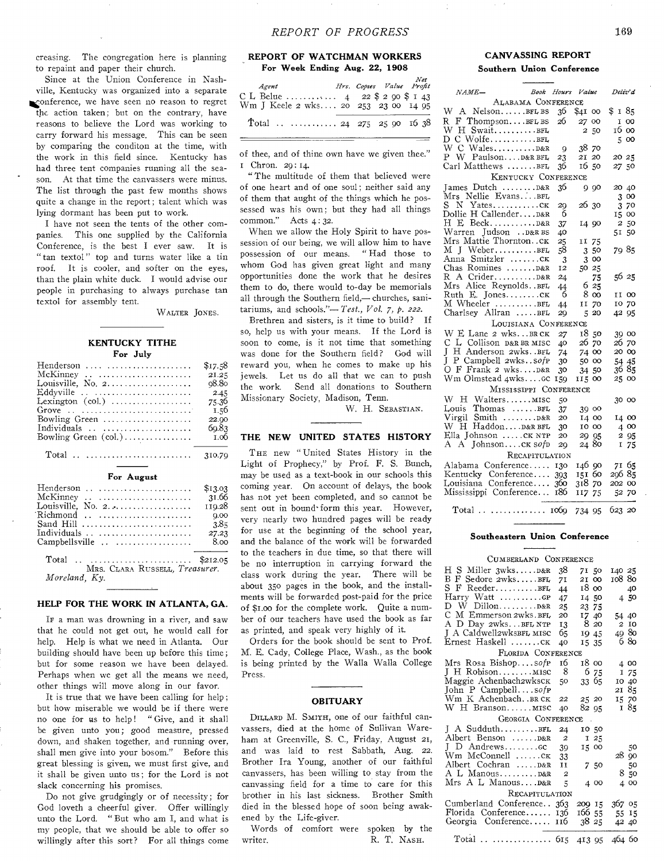creasing. The congregation here is planning to repaint and paper their church.

Since at the Union Conference in Nashville, Kentucky was organized into a separate conference, we have seen no reason to regret the action taken; but on the contrary, have reasons to believe the Lord was working to carry forward his message. This can be seen by comparing the conditon at the time, with the work in this field since. Kentucky has had three tent companies running all the season. At that time the canvassers were minus. The list through the past few months shows quite a change in the report; talent which was lying dormant has been put to work.

I have not seen the tents of the other companies. This one supplied by the California Conference, is the best I ever saw. It is " tan textol" top and turns water like a tin roof. It is cooler, and softer on the eyes, than the plain white duck. I would advise our people in purchasing to always purchase tan textol for assembly tent.

WALTER JONES.

#### **KENTUCKY TITHE For July**

| For July                                                      |               |
|---------------------------------------------------------------|---------------|
| $H$ enderson                                                  | \$17.58       |
| McKinney                                                      | 21.25         |
| Louisville, No. 2.                                            | 98.80         |
| Eddyville                                                     | 2.45          |
| Lexington $(col.)$                                            | 75.36         |
| Grove                                                         | 1.56          |
| Bowling Green                                                 | 22.00         |
| Individuals                                                   | 69.83         |
| Bowling Green $\text{(col.)} \dots \dots \dots \dots$         | 1.06          |
| $Total \dots \dots \dots \dots \dots \dots \dots \dots \dots$ | 310.79        |
| For August                                                    |               |
| Henderson                                                     | \$13.03       |
|                                                               | 31.66         |
|                                                               | 119.28        |
| $Richmond$                                                    | 0.00          |
| Sand Hill                                                     | 3.85          |
| Individuals                                                   | 27.23         |
| Campbellsville                                                | 8.00          |
| $\overline{m}$ . $\overline{1}$                               | $\sim$ $\sim$ |

Total .. ........................\$212.05 MRS. CLARA RUSSELL, *Treasurer. Moreland, Ky.* 

#### **HELP FOR THE WORK IN ATLANTA, GA.**

Ir a man was drowning in a river, and saw that he could not get out, he would call for help. Help is what we need in Atlanta. Our building should have been up before this time; but for some reason we have been delayed. Perhaps when we get all the means we need, other things will move along in our favor.

It is true that we have been calling for help ; but how miserable we would be if there were no one for us to help! " Give, and it shall be given unto you; good measure, pressed down, and shaken together, and running over, shall men give into your bosom." Before this great blessing is given, we must first give, and it shall be given unto us; for the Lord is not slack concerning his promises.

Do not give grudgingly or of necessity; for God loveth a cheerful giver. Offer willingly unto the Lord. "But who am I, and what is my people, that we should be able to offer so willingly after this sort? For all things come

## **REPORT OF WATCHMAN WORKERS For Week Ending Aug. 22, 1908**

| Agent                                                                  |  | Net<br>Ivet<br>Hrs. Copies Value Profit |
|------------------------------------------------------------------------|--|-----------------------------------------|
| C L Belue  4 22 \$ 2 90 \$ 1 43<br>Wm J Keele 2 wks 20 253 23 00 14 95 |  |                                         |
| Total   24 275 25 90 16 38                                             |  |                                         |

of thee, and of thine own have we given thee." Chron. 29:14.

" The multitude of them that believed were of one heart and of one soul; neither said any of them that aught of the things which he possessed was his own; but they had all things common." Acts 4:32.

When we allow the Holy Spirit to have possession of our being, we will allow him to have possession of our means. " Had those to whom God has given great light and many opportunities done the work that he desires them to do, there would to-day be memorials all through the Southern field,— churches, sanitariums, and schools."— *Test., Vol. 7, p. 222.* 

Brethren and sisters, is it time to build? If so, help us with your means. If the Lord is soon to come, is it not time that something was done for the Southern field? God will reward you, when he comes to make up his jewels. Let us do all that we can to push the work. Send all donations to Southern Missionary Society, Madison, Tenn.

W. H. SEBASTIAN.

#### **THE NEW UNITED STATES HISTORY**

THE new "United States History in the Light of Prophecy," by Prof. F. S. Bunch, may be used as a text-book in our schools this coming year. On account of delays, the book has not yet been completed, and so cannot be sent out in bound• form this year. However, very nearly two hundred pages will be ready for use at the beginning of the school year, and the balance of the work will be forwarded to the teachers in due time, so that there will be no interruption in carrying forward the class work during the year. There will be about 35o pages in the book, and the installments will be forwarded post-paid for the price of \$i.00 for the complete work. Quite a number of our teachers have used the book as far as printed, and speak very highly of it.

Orders for the book should be sent to Prof. M. E. Cady, College Place, Wash., as the book is being printed by the Walla Walla College Press.

#### **OBITUARY**

DILLARD M. SMITH, one of our faithful canvassers, died at the home of Sullivan Wareham at Greenville, S. C., Friday, August 21, and was laid to rest Sabbath, Aug. 22. Brother Ira Young, another of our faithful canvassers, has been willing to stay from the canvassing field for a time to care for this brother in his last sickness. Brother Smith died in the blessed hope of soon being awakened by the Life-giver.

Words of comfort were spoken by the writer. R. T. NASH.

## **CANVASSING REPORT Southern Union Conference**

| <i>NAME—</i>                         |     | Book Hours Value     | Deliv'd  |  |  |  |
|--------------------------------------|-----|----------------------|----------|--|--|--|
| ALABAMA CONFERENCE                   |     |                      |          |  |  |  |
| W A NelsonBFL BS                     | 36  | $$4I$ 00             | \$185    |  |  |  |
| R F ThompsonBFLBS                    | 26  | 27 00                | I 00     |  |  |  |
| W H SwaitBFL                         |     | $\overline{a}$<br>50 | 16 00    |  |  |  |
|                                      |     |                      | 500      |  |  |  |
|                                      | 9   | 38 70                |          |  |  |  |
| P W PaulsonD&R BFL                   | 23  | 2I.<br>20            | 20 25    |  |  |  |
| Carl Matthews BFL                    | 36  | 1650                 | 27 50    |  |  |  |
| KENTUCKY CONFERENCE                  |     |                      |          |  |  |  |
|                                      |     |                      |          |  |  |  |
| James Dutch D&R                      | 36  | 90                   | 20 40    |  |  |  |
| Mrs Nellie EvansBFL                  |     |                      | 3 00     |  |  |  |
| $S$ N Yates $CK$                     | 2Q  | 26 30                | 370      |  |  |  |
| Dollie H CallenderD&R                | 6   |                      | 15 00    |  |  |  |
|                                      | 37  | 14 90                | 2<br>50  |  |  |  |
| Warren Judson D&R BS                 | 40  |                      | 51<br>50 |  |  |  |
| Mrs Mattie Thorntoncк                | 25  | II 75                |          |  |  |  |
| M J WeberBFL                         | 58  | 350                  | 7985     |  |  |  |
| Anna Smitzler CK                     | 3   | 3 00                 |          |  |  |  |
| Chas Romines D&R                     | 12  | 50 25                |          |  |  |  |
|                                      | 24  | 75                   | 56 25    |  |  |  |
| Mrs Alice ReynoldsBFL                | 44  | 625                  |          |  |  |  |
| Ruth E. JonesCK                      | 6   | 800                  | 11 OO    |  |  |  |
| M Wheeler BFL                        | 44  | 70<br>IJΓ            | 10 70    |  |  |  |
| Charlsey Allran BFL                  | 29  | 5 20                 | 42 95    |  |  |  |
| LOUISIANA CONFERENCE                 |     |                      |          |  |  |  |
| W E Lane 2 wksBRCK                   | 27  | 18 50                | 39 00    |  |  |  |
| C L Collison D&R BR MISC             | 40  | 26 70                | 26 70    |  |  |  |
| T<br>H Anderson 2wksBFL              | 74  | 74 00                | 20 00    |  |  |  |
| J P Campbell 2wkssofp                | 30  | 50 00                | 54 45    |  |  |  |
| O F Frank 2 wksD&R                   | 30  | 34 50                | 36 85    |  |  |  |
| Wm Olmstead 4wksGC                   | 159 | 115 00               | 25 00    |  |  |  |
| MISSISSIPPI CONFERENCE               |     |                      |          |  |  |  |
| W H Walters MISC                     | 50  |                      | 30 00    |  |  |  |
|                                      | 37  | 39 00                |          |  |  |  |
| Louis Thomas BFL<br>Virgil Smith D&R | 20  | 14 00                | 14 OO    |  |  |  |
| W H<br>HaddonD&R BFL                 | 30  | 10 00                | 4 00     |  |  |  |
| Ella Johnson CK NTP                  | 20  |                      |          |  |  |  |
| A A Johnson $CK$ sofp                |     | 29 95<br>24 80       | 295      |  |  |  |
|                                      | 20  |                      | I 75     |  |  |  |
| <b>RECAPITULATION</b>                |     |                      |          |  |  |  |
| Alabama Conference                   | 130 | 146 90               | 71 65    |  |  |  |
| Kentucky Conference                  | 393 | 151 60               | 29685    |  |  |  |
| Louisiana Conference                 | 360 | 318 70               | 202 00   |  |  |  |
| Mississippi Conference               | 186 | 117 75               | 52 70    |  |  |  |
|                                      |     |                      |          |  |  |  |

Total  $\ldots$   $\ldots$   $\ldots$   $\ldots$   $\ldots$   $\ldots$   $\ldots$   $\ldots$   $\ldots$   $\ldots$   $\ldots$   $\ldots$   $\ldots$   $\ldots$   $\ldots$   $\ldots$   $\ldots$   $\ldots$   $\ldots$   $\ldots$   $\ldots$   $\ldots$   $\ldots$   $\ldots$   $\ldots$   $\ldots$   $\ldots$   $\ldots$   $\ldots$   $\ldots$   $\ldots$   $\ldots$   $\ldots$   $\ldots$   $\ldots$   $\ldots$ 

#### **Southeastern Union Conference**

| CUMBERLAND CONFERENCE                    |                  |                |       |                  |
|------------------------------------------|------------------|----------------|-------|------------------|
| H S Miller 3wksD&R<br>B F Sedore 2wksBFL | 38<br>71         | 71 50<br>21 00 |       | 140 25<br>108 80 |
| S F ReederBFL                            | 44               | 18 00          |       | 40               |
| Harry Watt GP                            | 47               | 14 50          |       | 4 50             |
|                                          | 25               | 23 75          |       |                  |
| C M Emmerson 2wks. BFL                   | 20               | 1740           |       | 54 40            |
| A D Day 2wksBFL NTP                      | 13               | 8 20           |       | 2 10             |
| J A Caldwell2wksBFL MISC                 | 65               | 19 45          |       | 49 80            |
| Ernest Haskell CK                        | 40               | 15 35          |       | 680              |
| <b>FLORIDA CONFERENCE</b>                |                  |                |       |                  |
| Mrs Rosa Bishopsofp                      | 16               | 18 00          |       | 4 0 0            |
| J H Robison MISC                         | 8                |                | 6 75  | 175              |
| Maggie Achenbach2wksCK                   | 50               | 33 65          |       | 10 40            |
| John P CampbellsofP                      |                  |                |       | 2185             |
| Wm K Achenbach. .BR CK                   | 22               | 25 20          |       | 15 70            |
| W H Branson MISC                         | 40               | 82 95          |       | 185              |
| <b>GEORGIA CONFERENCE</b>                |                  |                |       |                  |
|                                          |                  | $\overline{a}$ |       |                  |
| J A SudduthBFL                           | 24               | 10 50          |       |                  |
| Albert Benson D&R                        | $\overline{2}$   |                | 125   |                  |
| J D Andrewscc                            | 39               | 15 00          |       | 50               |
| Wm McConnell ck                          | 33               |                |       | 28 90            |
| Albert Cochran  D&R                      | Ħ                |                | 750   | 50               |
|                                          | $\boldsymbol{z}$ |                |       | 8 <sub>50</sub>  |
| Mrs A L ManousD&R                        | 5                |                | 4 00  | 4 00             |
| RECAPITULATION                           |                  |                |       |                  |
| Cumberland Conference 363                |                  | 209 15         |       | 367 05           |
| Florida Conference                       | 136              | 166 55         |       | 55 15            |
| Georgia Conference                       | 116              |                | 38 25 | 42 40            |
| Total   615 413 95 464 60                |                  |                |       |                  |